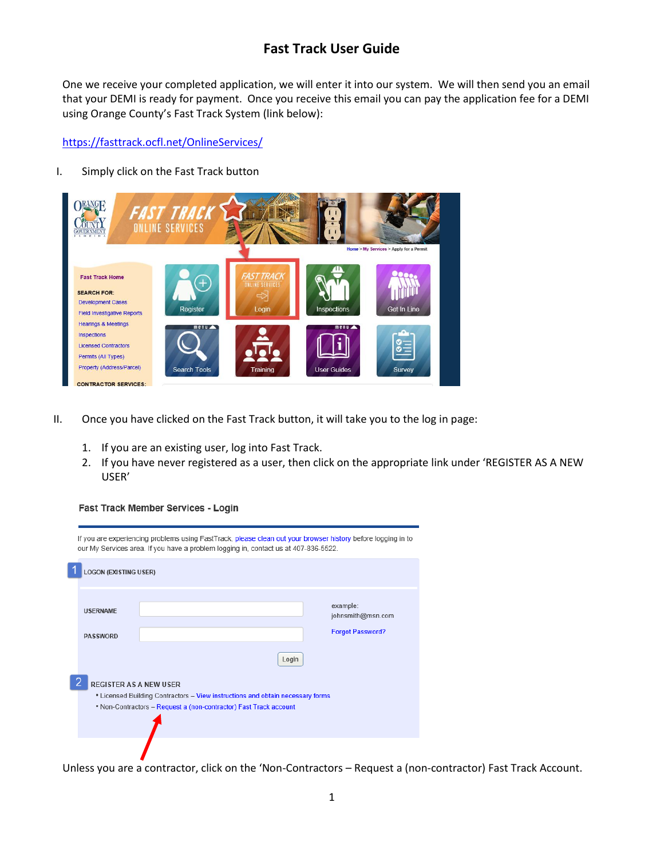One we receive your completed application, we will enter it into our system. We will then send you an email that your DEMI is ready for payment. Once you receive this email you can pay the application fee for a DEMI using Orange County's Fast Track System (link below):

<https://fasttrack.ocfl.net/OnlineServices/>

### I. Simply click on the Fast Track button



- II. Once you have clicked on the Fast Track button, it will take you to the log in page:
	- 1. If you are an existing user, log into Fast Track.
	- 2. If you have never registered as a user, then click on the appropriate link under 'REGISTER AS A NEW USER'

**Fast Track Member Services - Login** 

| If you are experiencing problems using FastTrack, please clean out your browser history before logging in to<br>our My Services area. If you have a problem logging in, contact us at 407-836-5522. |       |                               |  |  |  |  |  |
|-----------------------------------------------------------------------------------------------------------------------------------------------------------------------------------------------------|-------|-------------------------------|--|--|--|--|--|
| <b>LOGON (EXISTING USER)</b>                                                                                                                                                                        |       |                               |  |  |  |  |  |
| <b>USERNAME</b>                                                                                                                                                                                     |       | example:<br>johnsmith@msn.com |  |  |  |  |  |
| <b>PASSWORD</b>                                                                                                                                                                                     |       | <b>Forgot Password?</b>       |  |  |  |  |  |
|                                                                                                                                                                                                     | Login |                               |  |  |  |  |  |
| <b>REGISTER AS A NEW USER</b><br>• Licensed Building Contractors - View instructions and obtain necessary forms<br>. Non-Contractors - Request a (non-contractor) Fast Track account                |       |                               |  |  |  |  |  |
|                                                                                                                                                                                                     |       |                               |  |  |  |  |  |

Unless you are a contractor, click on the 'Non-Contractors – Request a (non-contractor) Fast Track Account.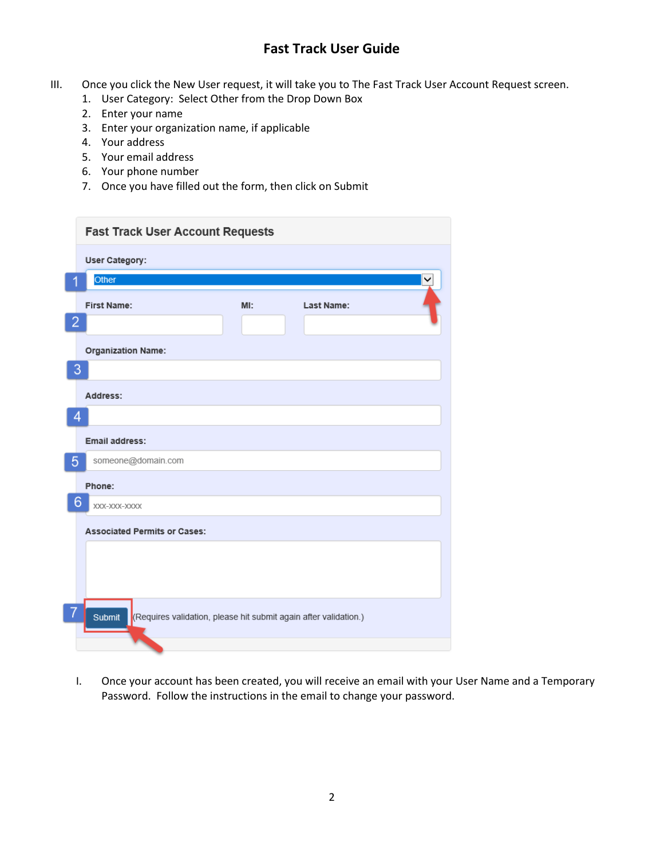- III. Once you click the New User request, it will take you to The Fast Track User Account Request screen.
	- 1. User Category: Select Other from the Drop Down Box
	- 2. Enter your name
	- 3. Enter your organization name, if applicable
	- 4. Your address
	- 5. Your email address
	- 6. Your phone number
	- 7. Once you have filled out the form, then click on Submit

|                | <b>Fast Track User Account Requests</b>                                    |     |            |   |  |  |  |  |
|----------------|----------------------------------------------------------------------------|-----|------------|---|--|--|--|--|
|                | <b>User Category:</b>                                                      |     |            |   |  |  |  |  |
|                | Other                                                                      |     |            | ◡ |  |  |  |  |
|                | <b>First Name:</b>                                                         | MI: | Last Name: |   |  |  |  |  |
| $\overline{2}$ |                                                                            |     |            |   |  |  |  |  |
|                | <b>Organization Name:</b>                                                  |     |            |   |  |  |  |  |
| 3              |                                                                            |     |            |   |  |  |  |  |
|                | Address:                                                                   |     |            |   |  |  |  |  |
| 4              |                                                                            |     |            |   |  |  |  |  |
|                | Email address:                                                             |     |            |   |  |  |  |  |
| $\overline{5}$ | someone@domain.com                                                         |     |            |   |  |  |  |  |
|                | Phone:                                                                     |     |            |   |  |  |  |  |
| 6              | XXX-XXX-XXXX                                                               |     |            |   |  |  |  |  |
|                | <b>Associated Permits or Cases:</b>                                        |     |            |   |  |  |  |  |
|                |                                                                            |     |            |   |  |  |  |  |
|                |                                                                            |     |            |   |  |  |  |  |
|                |                                                                            |     |            |   |  |  |  |  |
| 7              | Submit<br>(Requires validation, please hit submit again after validation.) |     |            |   |  |  |  |  |
|                |                                                                            |     |            |   |  |  |  |  |

I. Once your account has been created, you will receive an email with your User Name and a Temporary Password. Follow the instructions in the email to change your password.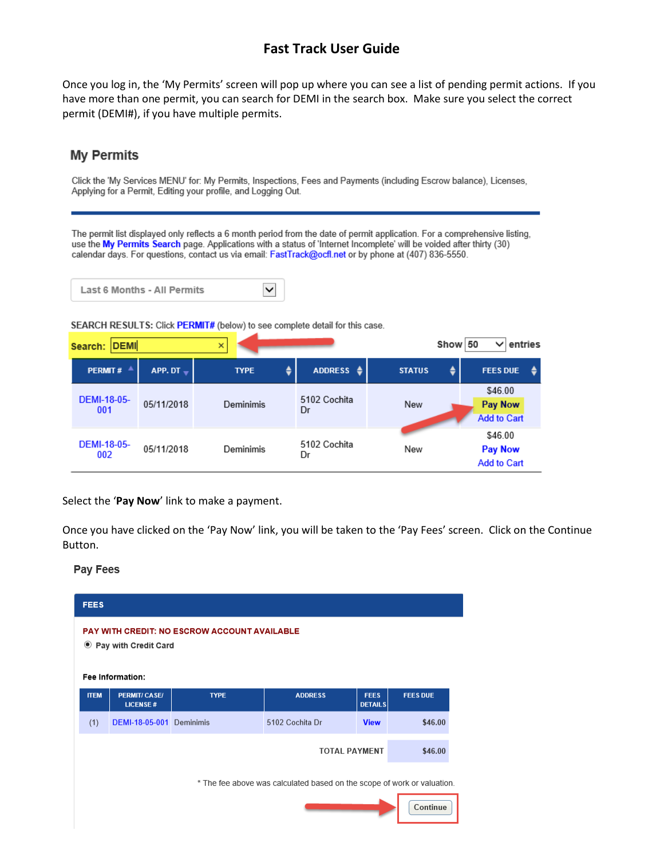Once you log in, the 'My Permits' screen will pop up where you can see a list of pending permit actions. If you have more than one permit, you can search for DEMI in the search box. Make sure you select the correct permit (DEMI#), if you have multiple permits.

## **My Permits**

Click the 'My Services MENU' for: My Permits, Inspections, Fees and Payments (including Escrow balance), Licenses, Applying for a Permit, Editing your profile, and Logging Out.

The permit list displayed only reflects a 6 month period from the date of permit application. For a comprehensive listing, use the My Permits Search page. Applications with a status of 'Internet Incomplete' will be voided after thirty (30) calendar days. For questions, contact us via email: FastTrack@ocfl.net or by phone at (407) 836-5550.



SEARCH RESULTS: Click PERMIT# (below) to see complete detail for this case.

| Search: DEMI<br>×         |                           |             |             |                      |               | Show | entries<br>50                                   |
|---------------------------|---------------------------|-------------|-------------|----------------------|---------------|------|-------------------------------------------------|
|                           | <b>PERMIT#</b>            | APP. DT $-$ | <b>TYPE</b> | ADDRESS $\triangleq$ | <b>STATUS</b> | ٠    | <b>FEES DUE</b>                                 |
|                           | <b>DEMI-18-05-</b><br>001 | 05/11/2018  | Deminimis   | 5102 Cochita<br>Dr   | New           |      | \$46.00<br><b>Pay Now</b><br><b>Add to Cart</b> |
| <b>DEMI-18-05-</b><br>002 |                           | 05/11/2018  | Deminimis   | 5102 Cochita<br>Dr   | New           |      | \$46.00<br><b>Pay Now</b><br><b>Add to Cart</b> |

Select the '**Pay Now**' link to make a payment.

Once you have clicked on the 'Pay Now' link, you will be taken to the 'Pay Fees' screen. Click on the Continue Button.

#### **Pay Fees**